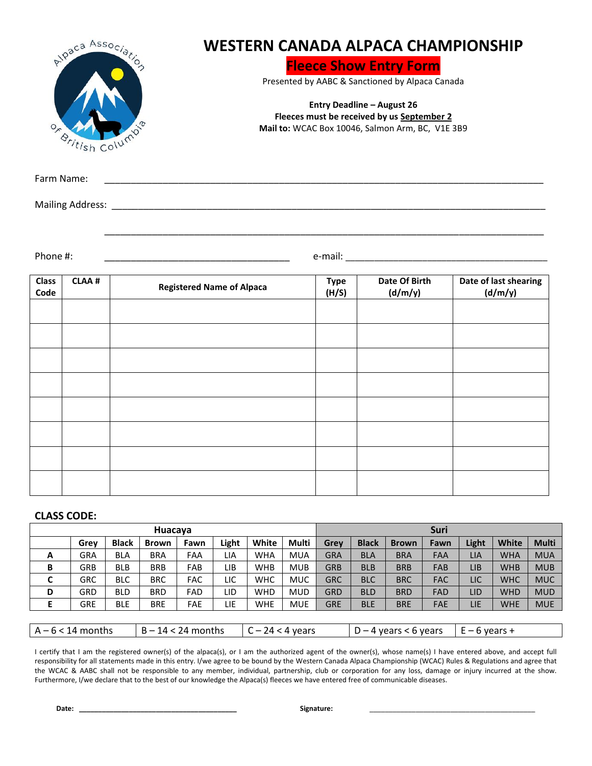| $O_{x}$              | Alpaca Association<br><b><i><u><u>Sritish</u></u></i></b> Column | <b>WESTERN CANADA ALPACA CHAMPIONSHIP</b> | <b>Entry Deadline - August 26</b> | <b>Fleece Show Entry Form</b><br>Presented by AABC & Sanctioned by Alpaca Canada<br>Fleeces must be received by us September 2<br>Mail to: WCAC Box 10046, Salmon Arm, BC, V1E 3B9 |                                  |  |  |  |  |  |  |
|----------------------|------------------------------------------------------------------|-------------------------------------------|-----------------------------------|------------------------------------------------------------------------------------------------------------------------------------------------------------------------------------|----------------------------------|--|--|--|--|--|--|
| Farm Name:           |                                                                  |                                           |                                   |                                                                                                                                                                                    |                                  |  |  |  |  |  |  |
|                      |                                                                  |                                           |                                   |                                                                                                                                                                                    |                                  |  |  |  |  |  |  |
| Phone #:             |                                                                  |                                           |                                   |                                                                                                                                                                                    |                                  |  |  |  |  |  |  |
| <b>Class</b><br>Code | <b>CLAA#</b>                                                     | <b>Registered Name of Alpaca</b>          | <b>Type</b><br>(H/S)              | Date Of Birth<br>(d/m/y)                                                                                                                                                           | Date of last shearing<br>(d/m/y) |  |  |  |  |  |  |
|                      |                                                                  |                                           |                                   |                                                                                                                                                                                    |                                  |  |  |  |  |  |  |
|                      |                                                                  |                                           |                                   |                                                                                                                                                                                    |                                  |  |  |  |  |  |  |
|                      |                                                                  |                                           |                                   |                                                                                                                                                                                    |                                  |  |  |  |  |  |  |
|                      |                                                                  |                                           |                                   |                                                                                                                                                                                    |                                  |  |  |  |  |  |  |
|                      |                                                                  |                                           |                                   |                                                                                                                                                                                    |                                  |  |  |  |  |  |  |
|                      |                                                                  |                                           |                                   |                                                                                                                                                                                    |                                  |  |  |  |  |  |  |
|                      |                                                                  |                                           |                                   |                                                                                                                                                                                    |                                  |  |  |  |  |  |  |

## **CLASS CODE:**

| Huacaya             |            |              |                                            |            |       |            | <b>Suri</b>             |            |              |              |                 |            |              |              |
|---------------------|------------|--------------|--------------------------------------------|------------|-------|------------|-------------------------|------------|--------------|--------------|-----------------|------------|--------------|--------------|
|                     | Grey       | <b>Black</b> | <b>Brown</b>                               | Fawn       | Light | White      | <b>Multi</b>            | Grev       | <b>Black</b> | <b>Brown</b> | Fawn            | Light      | <b>White</b> | <b>Multi</b> |
| A                   | <b>GRA</b> | <b>BLA</b>   | <b>BRA</b>                                 | FAA        | LIA   | <b>WHA</b> | <b>MUA</b>              | <b>GRA</b> | <b>BLA</b>   | <b>BRA</b>   | FAA             | <b>LIA</b> | <b>WHA</b>   | <b>MUA</b>   |
| В                   | <b>GRB</b> | <b>BLB</b>   | <b>BRB</b>                                 | FAB        | LIB   | <b>WHB</b> | <b>MUB</b>              | <b>GRB</b> | <b>BLB</b>   | <b>BRB</b>   | <b>FAB</b>      | <b>LIB</b> | <b>WHB</b>   | <b>MUB</b>   |
| C                   | <b>GRC</b> | <b>BLC</b>   | <b>BRC</b>                                 | <b>FAC</b> | LIC   | <b>WHC</b> | <b>MUC</b>              | <b>GRC</b> | <b>BLC</b>   | <b>BRC</b>   | <b>FAC</b>      | LIC        | <b>WHC</b>   | <b>MUC</b>   |
| D                   | <b>GRD</b> | <b>BLD</b>   | <b>BRD</b>                                 | FAD        | LID   | <b>WHD</b> | <b>MUD</b>              | <b>GRD</b> | <b>BLD</b>   | <b>BRD</b>   | <b>FAD</b>      | LID        | <b>WHD</b>   | <b>MUD</b>   |
| Е                   | <b>GRE</b> | <b>BLE</b>   | <b>BRE</b>                                 | <b>FAE</b> | LIE   | <b>WHE</b> | <b>MUE</b>              | <b>GRE</b> | <b>BLE</b>   | <b>BRE</b>   | <b>FAE</b>      | LIE        | <b>WHE</b>   | <b>MUE</b>   |
|                     |            |              |                                            |            |       |            |                         |            |              |              |                 |            |              |              |
| $A - 6 < 14$ months |            |              | $B - 14 < 24$ months<br>$C - 24 < 4$ years |            |       |            | $D - 4$ years < 6 years |            |              |              | $E - 6$ years + |            |              |              |

I certify that I am the registered owner(s) of the alpaca(s), or I am the authorized agent of the owner(s), whose name(s) I have entered above, and accept full responsibility for all statements made in this entry. I/we agree to be bound by the Western Canada Alpaca Championship (WCAC) Rules & Regulations and agree that the WCAC & AABC shall not be responsible to any member, individual, partnership, club or corporation for any loss, damage or injury incurred at the show. Furthermore, I/we declare that to the best of our knowledge the Alpaca(s) fleeces we have entered free of communicable diseases.